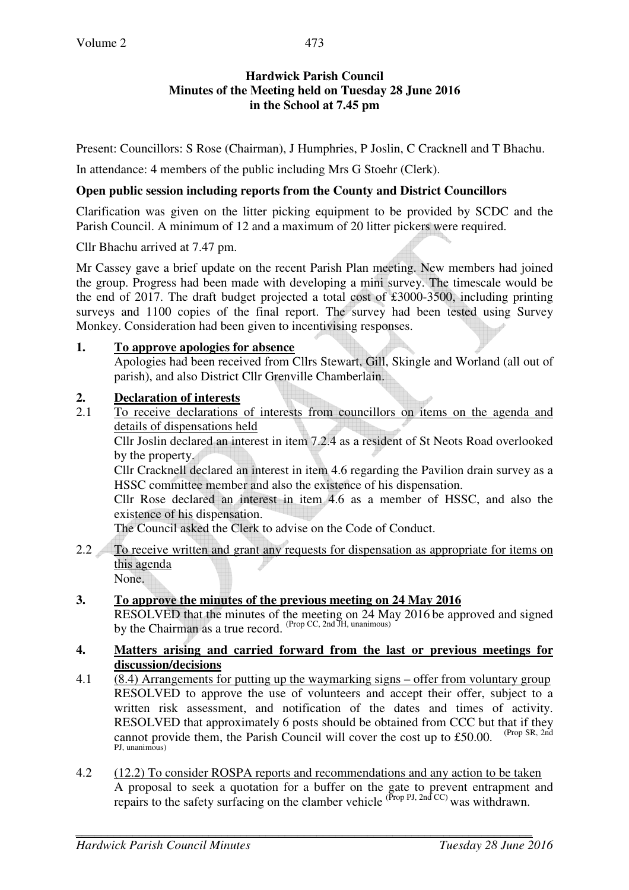## **Hardwick Parish Council Minutes of the Meeting held on Tuesday 28 June 2016 in the School at 7.45 pm**

Present: Councillors: S Rose (Chairman), J Humphries, P Joslin, C Cracknell and T Bhachu.

In attendance: 4 members of the public including Mrs G Stoehr (Clerk).

### **Open public session including reports from the County and District Councillors**

Clarification was given on the litter picking equipment to be provided by SCDC and the Parish Council. A minimum of 12 and a maximum of 20 litter pickers were required.

Cllr Bhachu arrived at 7.47 pm.

Mr Cassey gave a brief update on the recent Parish Plan meeting. New members had joined the group. Progress had been made with developing a mini survey. The timescale would be the end of 2017. The draft budget projected a total cost of £3000-3500, including printing surveys and 1100 copies of the final report. The survey had been tested using Survey Monkey. Consideration had been given to incentivising responses.

### **1. To approve apologies for absence**

Apologies had been received from Cllrs Stewart, Gill, Skingle and Worland (all out of parish), and also District Cllr Grenville Chamberlain.

### **2. Declaration of interests**

2.1 To receive declarations of interests from councillors on items on the agenda and details of dispensations held

Cllr Joslin declared an interest in item 7.2.4 as a resident of St Neots Road overlooked by the property.

Cllr Cracknell declared an interest in item 4.6 regarding the Pavilion drain survey as a HSSC committee member and also the existence of his dispensation.

Cllr Rose declared an interest in item 4.6 as a member of HSSC, and also the existence of his dispensation.

The Council asked the Clerk to advise on the Code of Conduct.

2.2 To receive written and grant any requests for dispensation as appropriate for items on this agenda None.

## **3. To approve the minutes of the previous meeting on 24 May 2016**  RESOLVED that the minutes of the meeting on 24 May 2016 be approved and signed by the Chairman as a true record. (Prop CC, 2nd JH, unanimous)

### **4. Matters arising and carried forward from the last or previous meetings for discussion/decisions**

- 4.1 (8.4) Arrangements for putting up the waymarking signs offer from voluntary group RESOLVED to approve the use of volunteers and accept their offer, subject to a written risk assessment, and notification of the dates and times of activity. RESOLVED that approximately 6 posts should be obtained from CCC but that if they cannot provide them, the Parish Council will cover the cost up to £50.00. (Prop SR, 2nd) PJ, unanimous)
- 4.2 (12.2) To consider ROSPA reports and recommendations and any action to be taken A proposal to seek a quotation for a buffer on the gate to prevent entrapment and repairs to the safety surfacing on the clamber vehicle  $^{(Prop\ Pl, 2nd\ CC)}$  was withdrawn.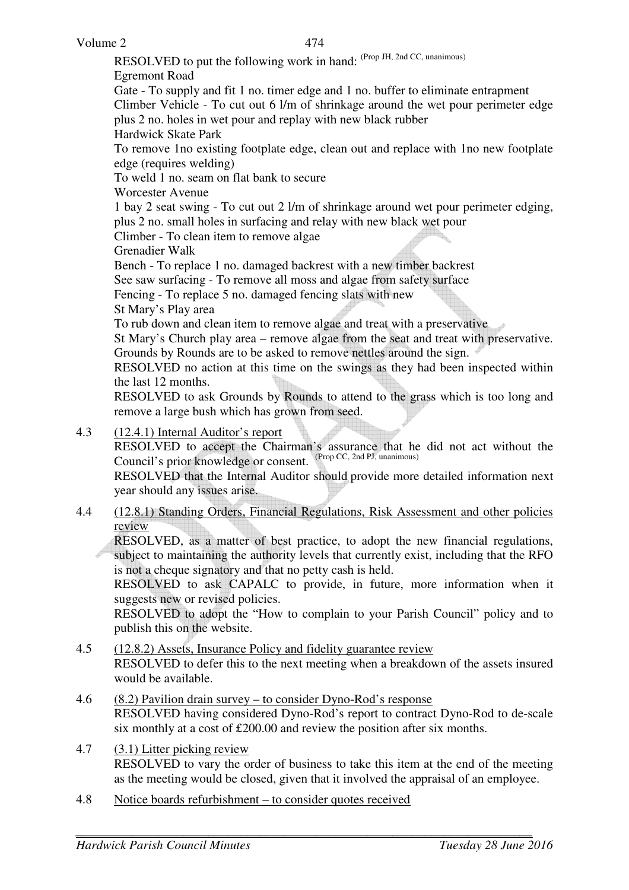RESOLVED to put the following work in hand: (Prop JH, 2nd CC, unanimous) Egremont Road Gate - To supply and fit 1 no. timer edge and 1 no. buffer to eliminate entrapment Climber Vehicle - To cut out 6 l/m of shrinkage around the wet pour perimeter edge plus 2 no. holes in wet pour and replay with new black rubber Hardwick Skate Park

To remove 1no existing footplate edge, clean out and replace with 1no new footplate edge (requires welding)

To weld 1 no. seam on flat bank to secure

Worcester Avenue

1 bay 2 seat swing - To cut out 2 l/m of shrinkage around wet pour perimeter edging, plus 2 no. small holes in surfacing and relay with new black wet pour

Climber - To clean item to remove algae

Grenadier Walk

Bench - To replace 1 no. damaged backrest with a new timber backrest

See saw surfacing - To remove all moss and algae from safety surface

Fencing - To replace 5 no. damaged fencing slats with new

St Mary's Play area

To rub down and clean item to remove algae and treat with a preservative

St Mary's Church play area – remove algae from the seat and treat with preservative. Grounds by Rounds are to be asked to remove nettles around the sign.

RESOLVED no action at this time on the swings as they had been inspected within the last 12 months.

RESOLVED to ask Grounds by Rounds to attend to the grass which is too long and remove a large bush which has grown from seed.

4.3 (12.4.1) Internal Auditor's report

 RESOLVED to accept the Chairman's assurance that he did not act without the Council's prior knowledge or consent. (Prop CC, 2nd PJ, unanimous)

RESOLVED that the Internal Auditor should provide more detailed information next year should any issues arise.

4.4 (12.8.1) Standing Orders, Financial Regulations, Risk Assessment and other policies review

 RESOLVED, as a matter of best practice, to adopt the new financial regulations, subject to maintaining the authority levels that currently exist, including that the RFO is not a cheque signatory and that no petty cash is held.

RESOLVED to ask CAPALC to provide, in future, more information when it suggests new or revised policies.

 RESOLVED to adopt the "How to complain to your Parish Council" policy and to publish this on the website.

- 4.5 (12.8.2) Assets, Insurance Policy and fidelity guarantee review RESOLVED to defer this to the next meeting when a breakdown of the assets insured would be available.
- 4.6 (8.2) Pavilion drain survey to consider Dyno-Rod's response RESOLVED having considered Dyno-Rod's report to contract Dyno-Rod to de-scale six monthly at a cost of £200.00 and review the position after six months.
- 4.7 (3.1) Litter picking review RESOLVED to vary the order of business to take this item at the end of the meeting as the meeting would be closed, given that it involved the appraisal of an employee.
- 4.8 Notice boards refurbishment to consider quotes received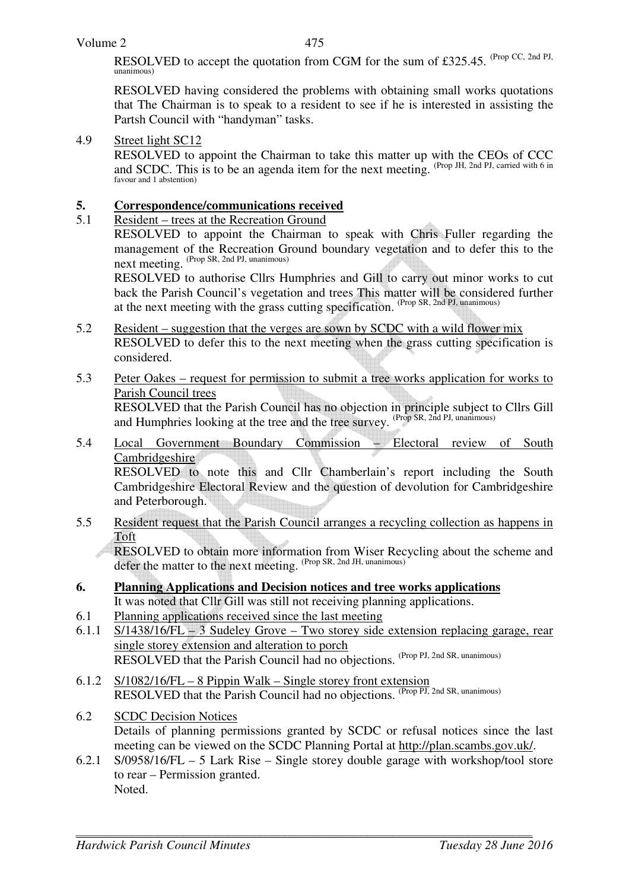RESOLVED to accept the quotation from CGM for the sum of £325.45. (Prop CC, 2nd PJ, unanimous)

RESOLVED having considered the problems with obtaining small works quotations that The Chairman is to speak to a resident to see if he is interested in assisting the Partsh Council with "handyman" tasks.

## 4.9 Street light SC12

 RESOLVED to appoint the Chairman to take this matter up with the CEOs of CCC and SCDC. This is to be an agenda item for the next meeting. (Prop JH, 2nd PJ, carried with 6 in favour and 1 abstention)

# **5.** Correspondence/communications received<br>5.1 Resident – trees at the Recreation Ground

## 5.1 Resident – trees at the Recreation Ground

RESOLVED to appoint the Chairman to speak with Chris Fuller regarding the management of the Recreation Ground boundary vegetation and to defer this to the **DELITE OF AN INCLITE CONTROL**<br>next meeting. (Prop SR, 2nd PJ, unanimous)

RESOLVED to authorise Cllrs Humphries and Gill to carry out minor works to cut back the Parish Council's vegetation and trees This matter will be considered further at the next meeting with the grass cutting specification. (Prop SR, 2nd PJ, unanimous)

- 5.2 Resident suggestion that the verges are sown by SCDC with a wild flower mix RESOLVED to defer this to the next meeting when the grass cutting specification is considered.
- 5.3 Peter Oakes request for permission to submit a tree works application for works to Parish Council trees RESOLVED that the Parish Council has no objection in principle subject to Cllrs Gill and Humphries looking at the tree and the tree survey. (Prop SR, 2nd PJ, unanimous)
- 5.4 Local Government Boundary Commission Electoral review of South Cambridgeshire RESOLVED to note this and Cllr Chamberlain's report including the South Cambridgeshire Electoral Review and the question of devolution for Cambridgeshire and Peterborough.
- 5.5 Resident request that the Parish Council arranges a recycling collection as happens in Toft

RESOLVED to obtain more information from Wiser Recycling about the scheme and defer the matter to the next meeting. (Prop SR, 2nd JH, unanimous)

- **6. Planning Applications and Decision notices and tree works applications** It was noted that Cllr Gill was still not receiving planning applications.
- 6.1 Planning applications received since the last meeting
- 6.1.1 S/1438/16/FL 3 Sudeley Grove Two storey side extension replacing garage, rear single storey extension and alteration to porch RESOLVED that the Parish Council had no objections. (Prop PJ, 2nd SR, unanimous)
- 6.1.2 S/1082/16/FL 8 Pippin Walk Single storey front extension RESOLVED that the Parish Council had no objections. (Prop PJ, 2nd SR, unanimous)
- 6.2 SCDC Decision Notices Details of planning permissions granted by SCDC or refusal notices since the last meeting can be viewed on the SCDC Planning Portal at http://plan.scambs.gov.uk/.
- 6.2.1 S/0958/16/FL 5 Lark Rise Single storey double garage with workshop/tool store to rear – Permission granted. Noted.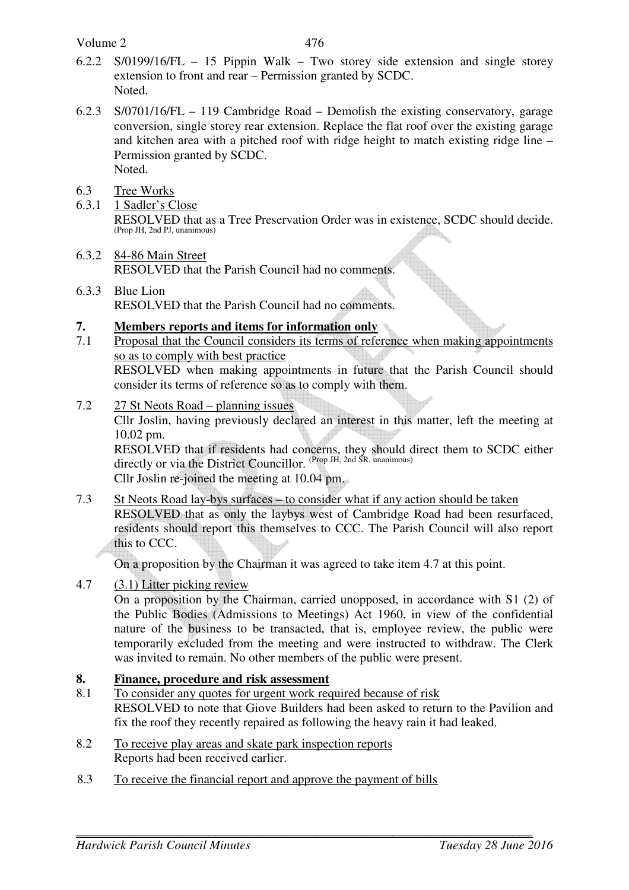Volume 2

- 6.2.2 S/0199/16/FL 15 Pippin Walk Two storey side extension and single storey extension to front and rear – Permission granted by SCDC. Noted.
- 6.2.3 S/0701/16/FL 119 Cambridge Road Demolish the existing conservatory, garage conversion, single storey rear extension. Replace the flat roof over the existing garage and kitchen area with a pitched roof with ridge height to match existing ridge line – Permission granted by SCDC. Noted.
- 6.3 Tree Works
- 6.3.1 1 Sadler's Close RESOLVED that as a Tree Preservation Order was in existence, SCDC should decide. (Prop JH, 2nd PJ, unanimous)
- 6.3.2 84-86 Main Street RESOLVED that the Parish Council had no comments.
- 6.3.3 Blue Lion RESOLVED that the Parish Council had no comments.
- **7. Members reports and items for information only**
- 7.1 Proposal that the Council considers its terms of reference when making appointments so as to comply with best practice RESOLVED when making appointments in future that the Parish Council should consider its terms of reference so as to comply with them.
- 7.2 27 St Neots Road planning issues

Cllr Joslin, having previously declared an interest in this matter, left the meeting at 10.02 pm.

RESOLVED that if residents had concerns, they should direct them to SCDC either directly or via the District Councillor. (Prop JH, 2nd SR, unanimous)

Cllr Joslin re-joined the meeting at 10.04 pm.

7.3 St Neots Road lay-bys surfaces – to consider what if any action should be taken RESOLVED that as only the laybys west of Cambridge Road had been resurfaced, residents should report this themselves to CCC. The Parish Council will also report this to CCC.

On a proposition by the Chairman it was agreed to take item 4.7 at this point.

4.7 (3.1) Litter picking review

On a proposition by the Chairman, carried unopposed, in accordance with S1 (2) of the Public Bodies (Admissions to Meetings) Act 1960, in view of the confidential nature of the business to be transacted, that is, employee review, the public were temporarily excluded from the meeting and were instructed to withdraw. The Clerk was invited to remain. No other members of the public were present.

## **8. Finance, procedure and risk assessment**

- 8.1 To consider any quotes for urgent work required because of risk RESOLVED to note that Giove Builders had been asked to return to the Pavilion and fix the roof they recently repaired as following the heavy rain it had leaked.
- 8.2 To receive play areas and skate park inspection reports Reports had been received earlier.
- 8.3 To receive the financial report and approve the payment of bills